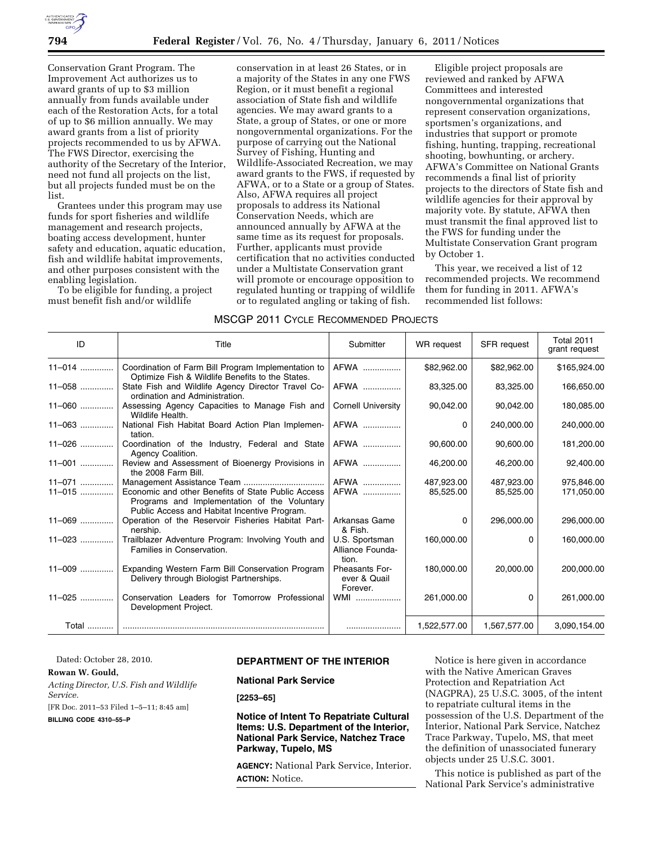

Conservation Grant Program. The Improvement Act authorizes us to award grants of up to \$3 million annually from funds available under each of the Restoration Acts, for a total of up to \$6 million annually. We may award grants from a list of priority projects recommended to us by AFWA. The FWS Director, exercising the authority of the Secretary of the Interior, need not fund all projects on the list, but all projects funded must be on the list.

Grantees under this program may use funds for sport fisheries and wildlife management and research projects, boating access development, hunter safety and education, aquatic education, fish and wildlife habitat improvements, and other purposes consistent with the enabling legislation.

To be eligible for funding, a project must benefit fish and/or wildlife

conservation in at least 26 States, or in a majority of the States in any one FWS Region, or it must benefit a regional association of State fish and wildlife agencies. We may award grants to a State, a group of States, or one or more nongovernmental organizations. For the purpose of carrying out the National Survey of Fishing, Hunting and Wildlife-Associated Recreation, we may award grants to the FWS, if requested by AFWA, or to a State or a group of States. Also, AFWA requires all project proposals to address its National Conservation Needs, which are announced annually by AFWA at the same time as its request for proposals. Further, applicants must provide certification that no activities conducted under a Multistate Conservation grant will promote or encourage opposition to regulated hunting or trapping of wildlife or to regulated angling or taking of fish.

Eligible project proposals are reviewed and ranked by AFWA Committees and interested nongovernmental organizations that represent conservation organizations, sportsmen's organizations, and industries that support or promote fishing, hunting, trapping, recreational shooting, bowhunting, or archery. AFWA's Committee on National Grants recommends a final list of priority projects to the directors of State fish and wildlife agencies for their approval by majority vote. By statute, AFWA then must transmit the final approved list to the FWS for funding under the Multistate Conservation Grant program by October 1.

This year, we received a list of 12 recommended projects. We recommend them for funding in 2011. AFWA's recommended list follows:

## MSCGP 2011 CYCLE RECOMMENDED PROJECTS

| ID         | Title                                                                                                                                              | Submitter                                         | WR request   | <b>SFR</b> request | <b>Total 2011</b><br>grant request |
|------------|----------------------------------------------------------------------------------------------------------------------------------------------------|---------------------------------------------------|--------------|--------------------|------------------------------------|
| $11 - 014$ | Coordination of Farm Bill Program Implementation to<br>Optimize Fish & Wildlife Benefits to the States.                                            | AFWA                                              | \$82,962.00  | \$82,962.00        | \$165,924.00                       |
| 11-058     | State Fish and Wildlife Agency Director Travel Co-<br>ordination and Administration.                                                               | AFWA                                              | 83,325.00    | 83,325.00          | 166,650.00                         |
| $11 - 060$ | Assessing Agency Capacities to Manage Fish and<br>Wildlife Health.                                                                                 | <b>Cornell University</b>                         | 90,042.00    | 90,042.00          | 180,085.00                         |
| $11 - 063$ | National Fish Habitat Board Action Plan Implemen-<br>tation.                                                                                       | AFWA                                              | $\Omega$     | 240,000.00         | 240,000.00                         |
| 11-026     | Coordination of the Industry, Federal and State<br>Agency Coalition.                                                                               | AFWA                                              | 90,600.00    | 90,600.00          | 181,200.00                         |
| $11-001$   | Review and Assessment of Bioenergy Provisions in<br>the 2008 Farm Bill.                                                                            | AFWA                                              | 46,200.00    | 46,200.00          | 92,400.00                          |
| 11-071     |                                                                                                                                                    | AFWA                                              | 487,923.00   | 487,923.00         | 975,846.00                         |
| $11 - 015$ | Economic and other Benefits of State Public Access<br>Programs and Implementation of the Voluntary<br>Public Access and Habitat Incentive Program. | AFWA                                              | 85,525.00    | 85,525.00          | 171,050.00                         |
| $11 - 069$ | Operation of the Reservoir Fisheries Habitat Part-<br>nership.                                                                                     | Arkansas Game<br>& Fish.                          | $\Omega$     | 296,000.00         | 296,000.00                         |
| $11 - 023$ | Trailblazer Adventure Program: Involving Youth and<br>Families in Conservation.                                                                    | U.S. Sportsman<br>Alliance Founda-<br>tion.       | 160,000.00   | 0                  | 160,000.00                         |
| $11 - 009$ | Expanding Western Farm Bill Conservation Program<br>Delivery through Biologist Partnerships.                                                       | <b>Pheasants For-</b><br>ever & Quail<br>Forever. | 180,000.00   | 20,000.00          | 200,000.00                         |
| $11 - 025$ | Conservation Leaders for Tomorrow Professional<br>Development Project.                                                                             | $WMI$                                             | 261,000.00   | 0                  | 261,000.00                         |
|            |                                                                                                                                                    |                                                   | 1,522,577.00 | 1,567,577.00       | 3,090,154.00                       |

Dated: October 28, 2010.

# **Rowan W. Gould,**

*Acting Director, U.S. Fish and Wildlife Service.* 

[FR Doc. 2011–53 Filed 1–5–11; 8:45 am]

**BILLING CODE 4310–55–P** 

# **DEPARTMENT OF THE INTERIOR**

**National Park Service** 

**[2253–65]** 

**Notice of Intent To Repatriate Cultural Items: U.S. Department of the Interior, National Park Service, Natchez Trace Parkway, Tupelo, MS** 

**AGENCY:** National Park Service, Interior. **ACTION:** Notice.

Notice is here given in accordance with the Native American Graves Protection and Repatriation Act (NAGPRA), 25 U.S.C. 3005, of the intent to repatriate cultural items in the possession of the U.S. Department of the Interior, National Park Service, Natchez Trace Parkway, Tupelo, MS, that meet the definition of unassociated funerary objects under 25 U.S.C. 3001.

This notice is published as part of the National Park Service's administrative